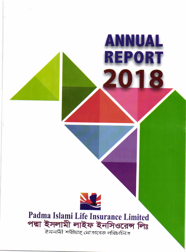



ANNUAL

**REPORT** 

2018

Padma Islami Life Insurance Limited পদ্মা ইসলামী লাইফ ইনসিওরেন্স লিঃ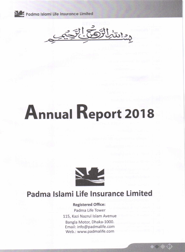

جعلتنزلل

# Annual Report 2018



# Padma lslami Life Insurance Limited

Registered Office: Padma Life Tower 115, Kazi Nazrul lslam Avenue Bangla Motor, Dhaka-1000. Email: info@padmalife.com

Web.: www.padmalife.com

01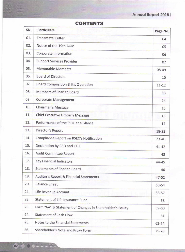## lAnnuql Reporl 2018 <sup>|</sup>

| SN. | <b>Particulars</b>                                       | Page No.  |
|-----|----------------------------------------------------------|-----------|
| 01. | <b>Transmittal Letter</b>                                | 04        |
| 02. | Notice of the 19th AGM                                   | 05        |
| 03. | Corporate Information                                    | 06        |
| 04. | <b>Support Services Provider</b>                         | 07        |
| 05. | <b>Memorable Moments</b>                                 | 08-09     |
| 06. | <b>Board of Directors</b>                                | 10        |
| 07. | Board Composition & It's Operation                       | $11 - 12$ |
| 08. | Members of Shariah Board                                 | 13        |
| 09. | <b>Corporate Management</b>                              | 14        |
| 10. | Chairman's Message                                       | 15        |
| 11. | Chief Executive Officer's Message                        | 16        |
| 12. | Performance of the PILIL at a Glance                     | 17        |
| 13. | Director's Report                                        | $18 - 22$ |
| 14. | Compliance Report on BSEC's Notification                 | $23 - 40$ |
| 15. | Declaration by CEO and CFO                               | $41 - 42$ |
| 16. | <b>Audit Committee Report</b>                            | 43        |
| 17. | Key Financial Indicators                                 | 44-45     |
| 18. | <b>Statements of Shariah Board</b>                       | 46        |
| 19. | Auditor's Report & Financial Statements                  | $47 - 52$ |
| 20. | <b>Balance Sheet</b>                                     | 53-54     |
| 21. | Life Revenue Account                                     | $55 - 57$ |
| 22. | Statement of Life Insurance Fund                         | 58        |
| 23. | Form "AA" & Statement of Changes in Shareholder's Equity | 59-60     |
| 24. | <b>Statement of Cash Flow</b>                            | 61        |
| 25. | Notes to the Financial Statements                        | 62-74     |
| 26. | Shareholder's Note and Proxy Form                        | $75 - 76$ |
|     |                                                          |           |

#### CONTENTS

02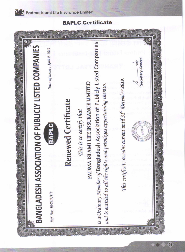